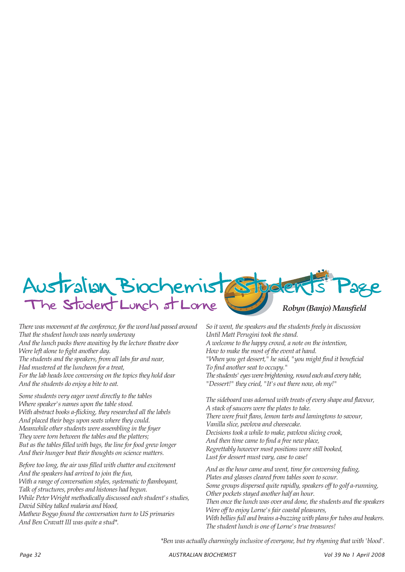

*There was movement at the conference, for the word had passed around That the student lunch was nearly underway And the lunch packs there awaiting by the lecture theatre door Were left alone to fight another day. The students and the speakers, from all labs far and near, Had mustered at the luncheon for a treat, For the lab heads love conversing on the topics they hold dear And the students do enjoy a bite to eat.*

*Some students very eager went directly to the tables Where speaker's names upon the table stood. With abstract books a-flicking, they researched all the labels And placed their bags upon seats where they could. Meanwhile other students were assembling in the foyer They were torn between the tables and the platters; But as the tables filled with bags, the line for food grew longer And their hunger beat their thoughts on science matters.*

*Before too long, the air was filled with chatter and excitement And the speakers had arrived to join the fun, With a range of conversation styles, systematic to flamboyant, Talk of structures, probes and histones had begun. While Peter Wright methodically discussed each student's studies, David Sibley talked malaria and blood, Mathew Bogyo found the conversation turn to US primaries And Ben Cravatt III was quite a stud\*.*

*So it went, the speakers and the students freely in discussion Until Matt Perugini took the stand. A welcome to the happy crowd, a note on the intention, How to make the most of the event at hand. "When you get dessert," he said, "you might find it beneficial To find another seat to occupy." The students' eyes were brightening, round each and every table, "Dessert!" they cried, "It's out there now, oh my!"*

*The sideboard was adorned with treats of every shape and flavour, A stack of saucers were the plates to take. There were fruit flans, lemon tarts and lamingtons to savour, Vanilla slice, pavlova and cheesecake. Decisions took a while to make, pavlova slicing crook, And then time came to find a free new place, Regrettably however most positions were still booked, Lust for dessert must vary, case to case!*

*And as the hour came and went, time for conversing fading, Plates and glasses cleared from tables soon to scour. Some groups dispersed quite rapidly, speakers off to golf a-running, Other pockets stayed another half an hour. Then once the lunch was over and done, the students and the speakers Were off to enjoy Lorne's fair coastal pleasures, With bellies full and brains a-buzzing with plans for tubes and beakers. The student lunch is one of Lorne's true treasures!*

*\*Ben was actually charmingly inclusive of everyone, but try rhyming that with 'blood'.*